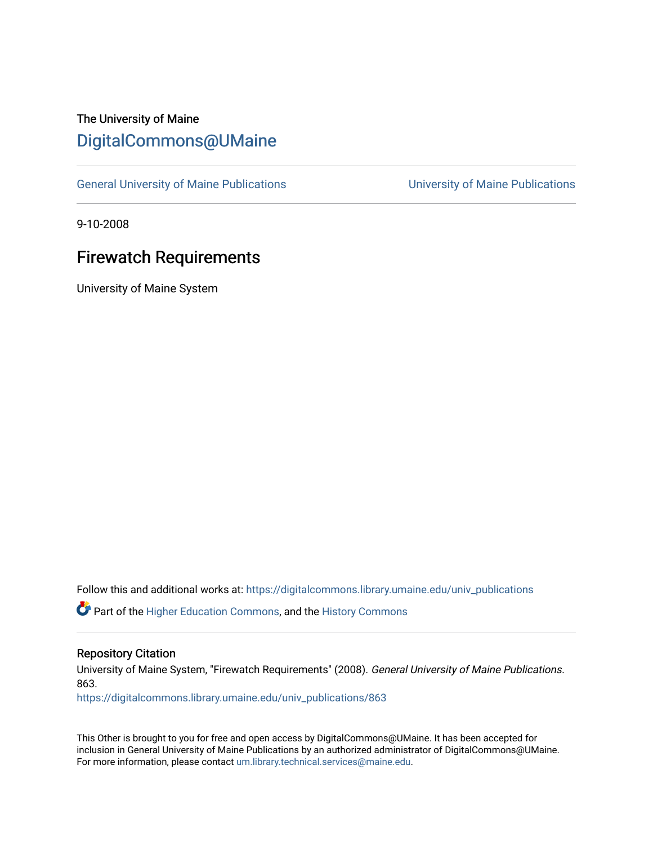# The University of Maine [DigitalCommons@UMaine](https://digitalcommons.library.umaine.edu/)

[General University of Maine Publications](https://digitalcommons.library.umaine.edu/univ_publications) [University of Maine Publications](https://digitalcommons.library.umaine.edu/umaine_publications) 

9-10-2008

# Firewatch Requirements

University of Maine System

Follow this and additional works at: [https://digitalcommons.library.umaine.edu/univ\\_publications](https://digitalcommons.library.umaine.edu/univ_publications?utm_source=digitalcommons.library.umaine.edu%2Funiv_publications%2F863&utm_medium=PDF&utm_campaign=PDFCoverPages) 

**C** Part of the [Higher Education Commons,](http://network.bepress.com/hgg/discipline/1245?utm_source=digitalcommons.library.umaine.edu%2Funiv_publications%2F863&utm_medium=PDF&utm_campaign=PDFCoverPages) and the [History Commons](http://network.bepress.com/hgg/discipline/489?utm_source=digitalcommons.library.umaine.edu%2Funiv_publications%2F863&utm_medium=PDF&utm_campaign=PDFCoverPages)

#### Repository Citation

University of Maine System, "Firewatch Requirements" (2008). General University of Maine Publications. 863.

[https://digitalcommons.library.umaine.edu/univ\\_publications/863](https://digitalcommons.library.umaine.edu/univ_publications/863?utm_source=digitalcommons.library.umaine.edu%2Funiv_publications%2F863&utm_medium=PDF&utm_campaign=PDFCoverPages) 

This Other is brought to you for free and open access by DigitalCommons@UMaine. It has been accepted for inclusion in General University of Maine Publications by an authorized administrator of DigitalCommons@UMaine. For more information, please contact [um.library.technical.services@maine.edu](mailto:um.library.technical.services@maine.edu).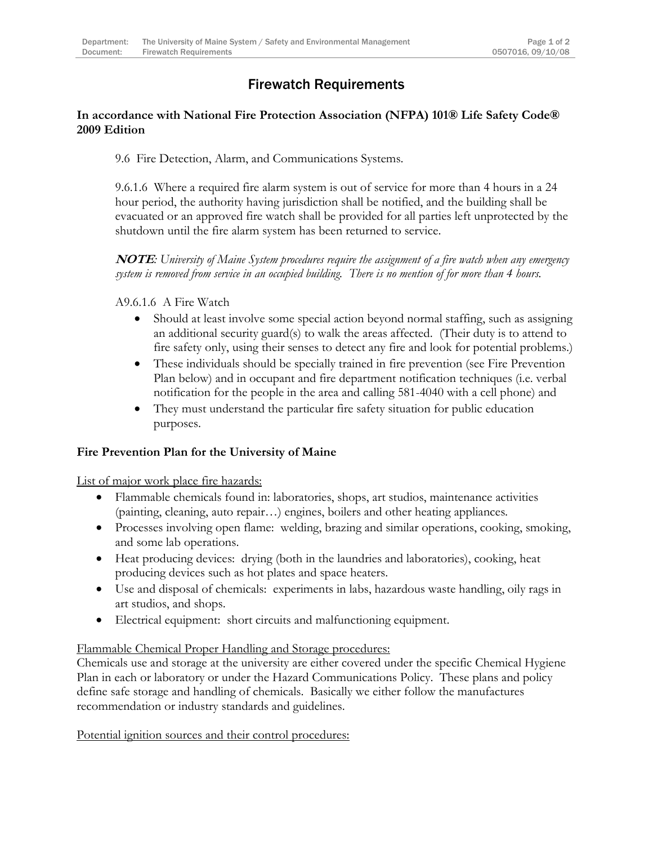## Firewatch Requirements

### **In accordance with National Fire Protection Association (NFPA) 101® Life Safety Code® 2009 Edition**

9.6 Fire Detection, Alarm, and Communications Systems.

9.6.1.6 Where a required fire alarm system is out of service for more than 4 hours in a 24 hour period, the authority having jurisdiction shall be notified, and the building shall be evacuated or an approved fire watch shall be provided for all parties left unprotected by the shutdown until the fire alarm system has been returned to service.

**NOTE***: University of Maine System procedures require the assignment of a fire watch when any emergency system is removed from service in an occupied building. There is no mention of for more than 4 hours.*

A9.6.1.6 A Fire Watch

- Should at least involve some special action beyond normal staffing, such as assigning an additional security guard(s) to walk the areas affected. (Their duty is to attend to fire safety only, using their senses to detect any fire and look for potential problems.)
- These individuals should be specially trained in fire prevention (see Fire Prevention Plan below) and in occupant and fire department notification techniques (i.e. verbal notification for the people in the area and calling 581-4040 with a cell phone) and
- They must understand the particular fire safety situation for public education purposes.

### **Fire Prevention Plan for the University of Maine**

List of major work place fire hazards:

- Flammable chemicals found in: laboratories, shops, art studios, maintenance activities (painting, cleaning, auto repair…) engines, boilers and other heating appliances.
- Processes involving open flame: welding, brazing and similar operations, cooking, smoking, and some lab operations.
- Heat producing devices: drying (both in the laundries and laboratories), cooking, heat producing devices such as hot plates and space heaters.
- Use and disposal of chemicals: experiments in labs, hazardous waste handling, oily rags in art studios, and shops.
- Electrical equipment: short circuits and malfunctioning equipment.

#### Flammable Chemical Proper Handling and Storage procedures:

Chemicals use and storage at the university are either covered under the specific Chemical Hygiene Plan in each or laboratory or under the Hazard Communications Policy. These plans and policy define safe storage and handling of chemicals. Basically we either follow the manufactures recommendation or industry standards and guidelines.

Potential ignition sources and their control procedures: